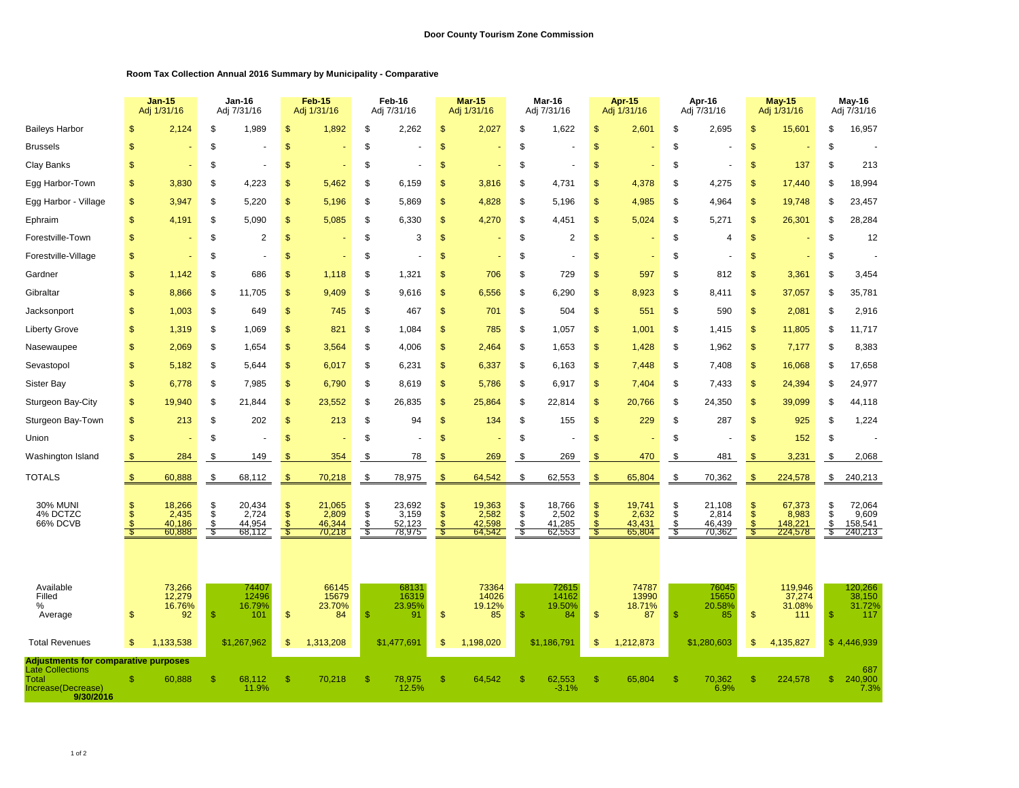## **Room Tax Collection Annual 2016 Summary by Municipality - Comparative**

|                                                                                                                           |                       | <b>Jan-15</b><br>Adj 1/31/16        |                        | Jan-16<br>Adj 7/31/16               |                      | <b>Feb-15</b><br>Adj 1/31/16        |               | Feb-16<br>Adj 7/31/16               |                                               | Mar-15<br>Adj 1/31/16               |                        | Mar-16<br>Adj 7/31/16               |                     | Apr-15<br>Adj 1/31/16               |                      | Apr-16<br>Adj 7/31/16               |                        | <b>May-15</b><br>Adj 1/31/16          |                        | May-16<br>Adj 7/31/16                 |  |
|---------------------------------------------------------------------------------------------------------------------------|-----------------------|-------------------------------------|------------------------|-------------------------------------|----------------------|-------------------------------------|---------------|-------------------------------------|-----------------------------------------------|-------------------------------------|------------------------|-------------------------------------|---------------------|-------------------------------------|----------------------|-------------------------------------|------------------------|---------------------------------------|------------------------|---------------------------------------|--|
| <b>Baileys Harbor</b>                                                                                                     | S                     | 2,124                               | \$                     | 1,989                               | \$                   | 1,892                               | \$            | 2,262                               | $\mathfrak{s}$                                | 2,027                               | \$                     | 1,622                               | \$                  | 2,601                               | \$                   | 2,695                               | \$                     | 15,601                                | \$                     | 16,957                                |  |
| <b>Brussels</b>                                                                                                           | \$                    |                                     | \$                     |                                     | \$                   |                                     | \$            |                                     | $\mathfrak{s}$                                |                                     | \$                     |                                     | \$                  |                                     | \$                   |                                     | \$                     |                                       | \$                     |                                       |  |
| Clay Banks                                                                                                                | \$                    |                                     | \$                     |                                     | \$                   |                                     | \$            |                                     | $\mathfrak{s}$                                |                                     | \$                     |                                     | \$                  |                                     | \$                   |                                     | \$                     | 137                                   | \$                     | 213                                   |  |
| Egg Harbor-Town                                                                                                           | \$                    | 3,830                               | S                      | 4,223                               | \$                   | 5,462                               | S             | 6,159                               | \$                                            | 3,816                               | S                      | 4,731                               | S                   | 4,378                               | S                    | 4,275                               | $\mathfrak{S}$         | 17,440                                | S                      | 18,994                                |  |
| Egg Harbor - Village                                                                                                      | \$                    | 3.947                               | \$                     | 5.220                               | \$                   | 5,196                               | \$            | 5.869                               | \$                                            | 4,828                               | \$                     | 5.196                               | \$.                 | 4,985                               | \$                   | 4,964                               | $\mathfrak{s}$         | 19,748                                | \$                     | 23,457                                |  |
| Ephraim                                                                                                                   | \$                    | 4,191                               | \$                     | 5.090                               | \$                   | 5,085                               | \$            | 6.330                               | $\mathsf{\$}$                                 | 4,270                               | \$                     | 4,451                               | \$.                 | 5,024                               | \$                   | 5,271                               | $\mathfrak{s}$         | 26,301                                | \$                     | 28,284                                |  |
| Forestville-Town                                                                                                          | \$                    |                                     | S                      | 2                                   | \$                   |                                     | \$            | 3                                   | $\mathsf{\$}$                                 |                                     | \$                     | 2                                   | \$                  |                                     | \$                   | $\overline{4}$                      | \$                     |                                       | \$                     | 12                                    |  |
| Forestville-Village                                                                                                       | \$                    |                                     | \$                     |                                     | \$                   |                                     | \$            |                                     | $\mathbb{S}$                                  |                                     | \$                     |                                     | S                   |                                     | \$                   |                                     | $\mathbb{S}$           |                                       | \$                     |                                       |  |
| Gardner                                                                                                                   | \$                    | 1,142                               | \$                     | 686                                 | \$                   | 1,118                               | \$            | 1,321                               | \$                                            | 706                                 | \$                     | 729                                 | \$                  | 597                                 | \$                   | 812                                 | \$                     | 3,361                                 | \$                     | 3,454                                 |  |
| Gibraltar                                                                                                                 | \$                    | 8,866                               | \$                     | 11,705                              | \$                   | 9,409                               | \$            | 9,616                               | $\mathsf{\$}$                                 | 6,556                               | \$                     | 6,290                               | \$                  | 8,923                               | \$                   | 8,411                               | \$                     | 37,057                                | \$                     | 35,781                                |  |
| Jacksonport                                                                                                               | \$                    | 1,003                               | \$                     | 649                                 | \$                   | 745                                 | \$            | 467                                 | $\mathsf{\$}$                                 | 701                                 | \$                     | 504                                 | \$                  | 551                                 | \$                   | 590                                 | \$                     | 2,081                                 | \$                     | 2,916                                 |  |
| <b>Liberty Grove</b>                                                                                                      | \$                    | 1,319                               | \$                     | 1,069                               | \$                   | 821                                 | \$            | 1,084                               | $\mathfrak{s}$                                | 785                                 | \$                     | 1,057                               | \$                  | 1,001                               | \$                   | 1,415                               | \$                     | 11,805                                | \$                     | 11,717                                |  |
| Nasewaupee                                                                                                                | \$                    | 2,069                               | \$                     | 1,654                               | \$                   | 3,564                               | \$            | 4,006                               | $\mathfrak{s}$                                | 2,464                               | \$                     | 1,653                               | \$                  | 1,428                               | \$                   | 1,962                               | \$                     | 7,177                                 | \$                     | 8,383                                 |  |
| Sevastopol                                                                                                                | \$                    | 5,182                               | \$                     | 5,644                               | \$                   | 6,017                               | \$            | 6,231                               | $\mathfrak{s}$                                | 6,337                               | \$                     | 6,163                               | \$                  | 7,448                               | \$                   | 7,408                               | \$                     | 16,068                                | \$                     | 17,658                                |  |
| <b>Sister Bay</b>                                                                                                         | \$                    | 6,778                               | \$                     | 7,985                               | \$                   | 6,790                               | \$            | 8,619                               | $\frac{1}{2}$                                 | 5,786                               | \$                     | 6,917                               | \$                  | 7,404                               | \$                   | 7,433                               | \$                     | 24,394                                | \$                     | 24,977                                |  |
| Sturgeon Bay-City                                                                                                         | \$                    | 19,940                              | \$                     | 21,844                              | \$                   | 23,552                              | \$            | 26,835                              | $\frac{1}{2}$                                 | 25,864                              | \$                     | 22,814                              | \$                  | 20,766                              | \$                   | 24,350                              | \$                     | 39,099                                | \$                     | 44,118                                |  |
| Sturgeon Bay-Town                                                                                                         | \$                    | 213                                 | \$                     | 202                                 | \$                   | 213                                 | \$            | 94                                  | $\mathfrak{s}$                                | 134                                 | \$                     | 155                                 | \$                  | 229                                 | \$                   | 287                                 | \$                     | 925                                   | \$                     | 1,224                                 |  |
| Union                                                                                                                     | \$                    |                                     | S                      |                                     | \$                   |                                     | \$            |                                     | $\mathfrak{s}$                                |                                     | \$                     |                                     | \$                  |                                     | \$                   |                                     | \$                     | 152                                   | \$                     |                                       |  |
| Washington Island                                                                                                         | \$                    | 284                                 | \$                     | 149                                 | -SS                  | 354                                 | \$            | 78                                  | -S                                            | 269                                 | \$                     | 269                                 | \$                  | 470                                 | \$                   | 481                                 | \$                     | 3,231                                 | \$                     | 2,068                                 |  |
| <b>TOTALS</b>                                                                                                             | $\frac{1}{2}$         | 60,888                              | \$                     | 68,112                              | $\frac{1}{2}$        | 70,218                              | \$            | 78,975                              | $\sqrt[3]{2}$                                 | 64,542                              | \$                     | 62,553                              | $\frac{1}{2}$       | 65,804                              | \$                   | 70,362                              | \$                     | 224,578                               | \$                     | 240,213                               |  |
| <b>30% MUNI</b><br>4% DCTZC<br>66% DCVB                                                                                   | S<br>\$<br>.¢<br>- \$ | 18,266<br>2,435<br>40.186<br>60,888 | \$<br>\$<br>\$<br>- \$ | 20,434<br>2,724<br>44.954<br>68,112 | \$<br>$\mathfrak{s}$ | 21,065<br>2,809<br>46.344<br>70,218 | \$<br>\$<br>S | 23,692<br>3,159<br>52.123<br>78,975 | $\mathsf{\$}$<br>$\mathfrak{s}$<br>-S<br>- \$ | 19,363<br>2,582<br>42.598<br>64,542 | \$<br>\$<br>\$<br>- \$ | 18,766<br>2,502<br>41,285<br>62,553 | \$<br>$\mathbf{\$}$ | 19,741<br>2,632<br>43.431<br>65,804 | \$<br>\$<br>\$<br>£. | 21,108<br>2,814<br>46.439<br>70,362 | \$<br>\$<br>£.<br>- \$ | 67,373<br>8,983<br>148,221<br>224,578 | \$<br>\$<br>\$<br>- \$ | 72,064<br>9,609<br>158,541<br>240,213 |  |
| Available<br>Filled<br>%<br>Average                                                                                       | S                     | 73,266<br>12.279<br>16.76%<br>92    | <sup>\$</sup>          | 74407<br>12496<br>16.79%<br>101     | \$                   | 66145<br>15679<br>23.70%<br>84      | $\mathsf{\$}$ | 68131<br>16319<br>23.95%<br>91      | $\mathsf{\$}$                                 | 73364<br>14026<br>19.12%<br>85      | <sup>\$</sup>          | 72615<br>14162<br>19.50%<br>84      | \$                  | 74787<br>13990<br>18.71%<br>87      | \$                   | 76045<br>15650<br>20.58%<br>85      | $\mathsf{\$}$          | 119,946<br>37,274<br>31.08%<br>111    | <sup>\$</sup>          | 120,266<br>38,150<br>31.72%<br>117    |  |
| <b>Total Revenues</b>                                                                                                     | $\mathfrak{s}$        | ,133,538<br>1                       |                        | \$1,267,962                         | \$                   | 1,313,208                           |               | \$1,477,691                         | \$                                            | 1,198,020                           |                        | \$1,186,791                         | S                   | 1,212,873                           |                      | \$1,280,603                         | \$                     | 4,135,827                             |                        | \$4,446,939                           |  |
| <b>Adjustments for comparative purposes</b><br><b>Late Collections</b><br><b>Total</b><br>Increase(Decrease)<br>9/30/2016 | \$                    | 60,888                              |                        | 68,112<br>11.9%                     |                      | 70,218                              | -S            | 78,975<br>12.5%                     | S                                             | 64,542                              |                        | 62,553<br>$-3.1%$                   |                     | 65,804                              | \$                   | 70,362<br>6.9%                      | \$                     | 224,578                               | \$                     | 687<br>240,900<br>7.3%                |  |